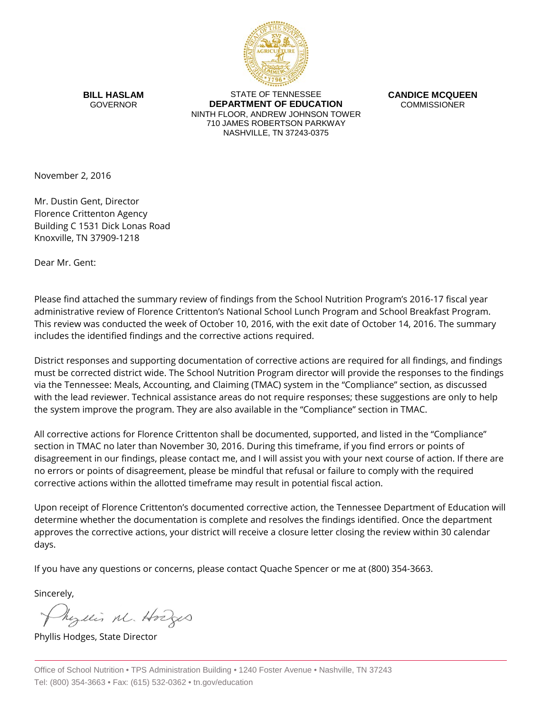

**BILL HASLAM** GOVERNOR

STATE OF TENNESSEE **DEPARTMENT OF EDUCATION** NINTH FLOOR, ANDREW JOHNSON TOWER 710 JAMES ROBERTSON PARKWAY NASHVILLE, TN 37243-0375

**CANDICE MCQUEEN** COMMISSIONER

November 2, 2016

Mr. Dustin Gent, Director Florence Crittenton Agency Building C 1531 Dick Lonas Road Knoxville, TN 37909-1218

Dear Mr. Gent:

Please find attached the summary review of findings from the School Nutrition Program's 2016-17 fiscal year administrative review of Florence Crittenton's National School Lunch Program and School Breakfast Program. This review was conducted the week of October 10, 2016, with the exit date of October 14, 2016. The summary includes the identified findings and the corrective actions required.

District responses and supporting documentation of corrective actions are required for all findings, and findings must be corrected district wide. The School Nutrition Program director will provide the responses to the findings via the Tennessee: Meals, Accounting, and Claiming (TMAC) system in the "Compliance" section, as discussed with the lead reviewer. Technical assistance areas do not require responses; these suggestions are only to help the system improve the program. They are also available in the "Compliance" section in TMAC.

All corrective actions for Florence Crittenton shall be documented, supported, and listed in the "Compliance" section in TMAC no later than November 30, 2016. During this timeframe, if you find errors or points of disagreement in our findings, please contact me, and I will assist you with your next course of action. If there are no errors or points of disagreement, please be mindful that refusal or failure to comply with the required corrective actions within the allotted timeframe may result in potential fiscal action.

Upon receipt of Florence Crittenton's documented corrective action, the Tennessee Department of Education will determine whether the documentation is complete and resolves the findings identified. Once the department approves the corrective actions, your district will receive a closure letter closing the review within 30 calendar days.

If you have any questions or concerns, please contact Quache Spencer or me at (800) 354-3663.

Sincerely,

Myllis M. Hodges

Phyllis Hodges, State Director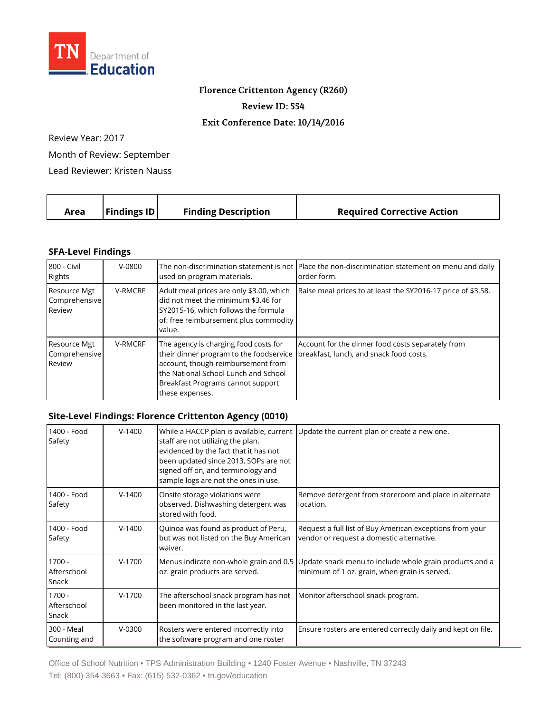

## **Florence Crittenton Agency (R260)**

**Review ID: 554**

## **Exit Conference Date: 10/14/2016**

Review Year: 2017

Month of Review: September

Lead Reviewer: Kristen Nauss

| <b>Findings ID</b><br><b>Finding Description</b><br><b>Required Corrective Action</b><br>Area |
|-----------------------------------------------------------------------------------------------|
|-----------------------------------------------------------------------------------------------|

## **SFA-Level Findings**

| 800 - Civil<br>Rights                   | $V - 0800$     | used on program materials.                                                                                                                                                                                             | The non-discrimination statement is not Place the non-discrimination statement on menu and daily<br>order form. |
|-----------------------------------------|----------------|------------------------------------------------------------------------------------------------------------------------------------------------------------------------------------------------------------------------|-----------------------------------------------------------------------------------------------------------------|
| Resource Mgt<br>Comprehensive<br>Review | <b>V-RMCRF</b> | Adult meal prices are only \$3.00, which<br>did not meet the minimum \$3.46 for<br>SY2015-16, which follows the formula<br>of: free reimbursement plus commodity<br>value.                                             | Raise meal prices to at least the SY2016-17 price of \$3.58.                                                    |
| Resource Mgt<br>Comprehensive<br>Review | <b>V-RMCRF</b> | The agency is charging food costs for<br>their dinner program to the foodservice<br>account, though reimbursement from<br>the National School Lunch and School<br>Breakfast Programs cannot support<br>these expenses. | Account for the dinner food costs separately from<br>breakfast, lunch, and snack food costs.                    |

## **Site-Level Findings: Florence Crittenton Agency (0010)**

| 1400 - Food<br>Safety            | $V-1400$ | staff are not utilizing the plan,<br>evidenced by the fact that it has not<br>been updated since 2013, SOPs are not<br>signed off on, and terminology and<br>sample logs are not the ones in use. | While a HACCP plan is available, current Update the current plan or create a new one.                    |
|----------------------------------|----------|---------------------------------------------------------------------------------------------------------------------------------------------------------------------------------------------------|----------------------------------------------------------------------------------------------------------|
| 1400 - Food<br>Safety            | $V-1400$ | Onsite storage violations were<br>observed. Dishwashing detergent was<br>stored with food.                                                                                                        | Remove detergent from storeroom and place in alternate<br>location.                                      |
| 1400 - Food<br>Safety            | $V-1400$ | Quinoa was found as product of Peru,<br>but was not listed on the Buy American<br>waiver.                                                                                                         | Request a full list of Buy American exceptions from your<br>vendor or request a domestic alternative.    |
| $1700 -$<br>Afterschool<br>Snack | $V-1700$ | Menus indicate non-whole grain and 0.5<br>oz. grain products are served.                                                                                                                          | Update snack menu to include whole grain products and a<br>minimum of 1 oz. grain, when grain is served. |
| $1700 -$<br>Afterschool<br>Snack | $V-1700$ | The afterschool snack program has not<br>been monitored in the last year.                                                                                                                         | Monitor afterschool snack program.                                                                       |
| 300 - Meal<br>Counting and       | $V-0300$ | Rosters were entered incorrectly into<br>the software program and one roster                                                                                                                      | Ensure rosters are entered correctly daily and kept on file.                                             |